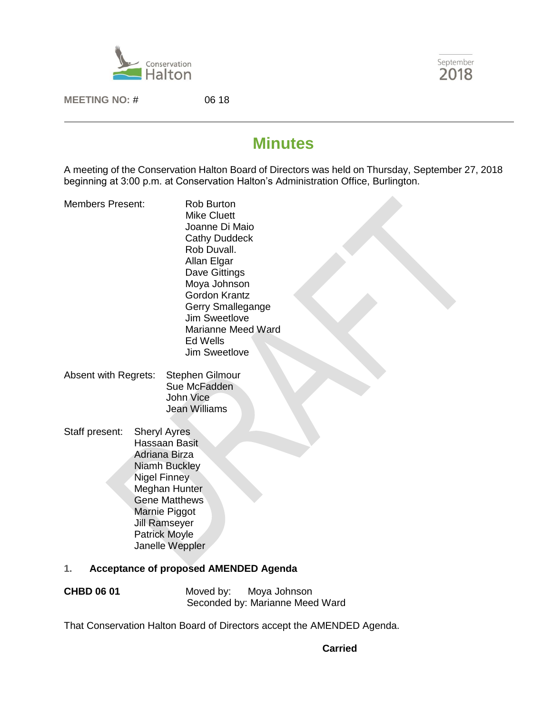



**MEETING NO:** # 06 18

# **Minutes**

A meeting of the Conservation Halton Board of Directors was held on Thursday, September 27, 2018 beginning at 3:00 p.m. at Conservation Halton's Administration Office, Burlington.

- Members Present: Rob Burton Mike Cluett Joanne Di Maio Cathy Duddeck Rob Duvall. Allan Elgar Dave Gittings Moya Johnson Gordon Krantz Gerry Smallegange Jim Sweetlove Marianne Meed Ward Ed Wells Jim Sweetlove
- Absent with Regrets: Stephen Gilmour Sue McFadden John Vice Jean Williams
- Staff present: Sheryl Ayres Hassaan Basit Adriana Birza Niamh Buckley Nigel Finney Meghan Hunter Gene Matthews Marnie Piggot Jill Ramseyer Patrick Moyle Janelle Weppler

# **1. Acceptance of proposed AMENDED Agenda**

| <b>CHBD 06 01</b> | Moved by: | Moya Johnson                    |
|-------------------|-----------|---------------------------------|
|                   |           | Seconded by: Marianne Meed Ward |

That Conservation Halton Board of Directors accept the AMENDED Agenda.

**Carried**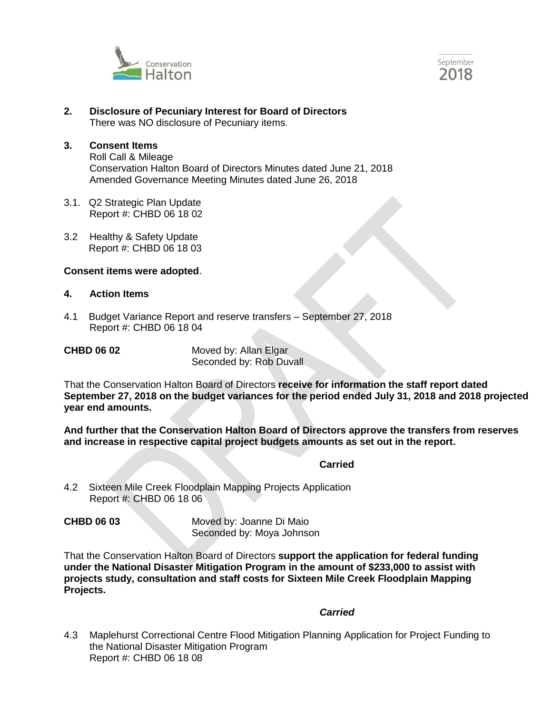



- **2. Disclosure of Pecuniary Interest for Board of Directors**  There was NO disclosure of Pecuniary items.
- **3. Consent Items** Roll Call & Mileage Conservation Halton Board of Directors Minutes dated June 21, 2018 Amended Governance Meeting Minutes dated June 26, 2018
- 3.1. Q2 Strategic Plan Update Report #: CHBD 06 18 02
- 3.2 Healthy & Safety Update Report #: CHBD 06 18 03

#### **Consent items were adopted.**

#### **4. Action Items**

4.1 Budget Variance Report and reserve transfers – September 27, 2018 Report #: CHBD 06 18 04

**CHBD 06 02** Moved by: Allan Elgar Seconded by: Rob Duvall

That the Conservation Halton Board of Directors **receive for information the staff report dated September 27, 2018 on the budget variances for the period ended July 31, 2018 and 2018 projected year end amounts.**

**And further that the Conservation Halton Board of Directors approve the transfers from reserves and increase in respective capital project budgets amounts as set out in the report.**

#### *Carried*

4.2 Sixteen Mile Creek Floodplain Mapping Projects Application Report #: CHBD 06 18 06

**CHBD 06 03** Moved by: Joanne Di Maio Seconded by: Moya Johnson

That the Conservation Halton Board of Directors **support the application for federal funding under the National Disaster Mitigation Program in the amount of \$233,000 to assist with projects study, consultation and staff costs for Sixteen Mile Creek Floodplain Mapping Projects.**

#### *Carried*

4.3 Maplehurst Correctional Centre Flood Mitigation Planning Application for Project Funding to the National Disaster Mitigation Program Report #: CHBD 06 18 08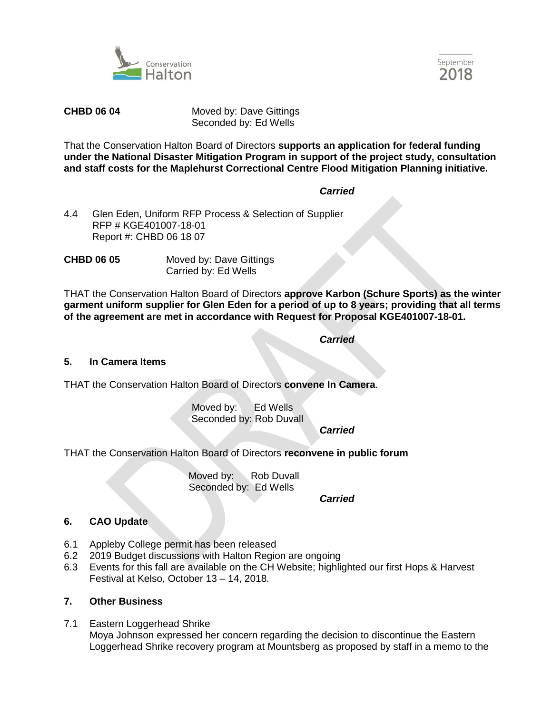



**CHBD 06 04** Moved by: Dave Gittings Seconded by: Ed Wells

That the Conservation Halton Board of Directors **supports an application for federal funding under the National Disaster Mitigation Program in support of the project study, consultation and staff costs for the Maplehurst Correctional Centre Flood Mitigation Planning initiative.**

### *Carried*

4.4 Glen Eden, Uniform RFP Process & Selection of Supplier RFP # KGE401007-18-01 Report #: CHBD 06 18 07

**CHBD 06 05** Moved by: Dave Gittings Carried by: Ed Wells

THAT the Conservation Halton Board of Directors **approve Karbon (Schure Sports) as the winter garment uniform supplier for Glen Eden for a period of up to 8 years; providing that all terms of the agreement are met in accordance with Request for Proposal KGE401007-18-01.**

*Carried*

#### **5. In Camera Items**

THAT the Conservation Halton Board of Directors **convene In Camera**.

Moved by: Ed Wells Seconded by: Rob Duvall

*Carried*

THAT the Conservation Halton Board of Directors **reconvene in public forum**

Moved by: Rob Duvall Seconded by: Ed Wells

*Carried*

# **6. CAO Update**

- 6.1 Appleby College permit has been released
- 6.2 2019 Budget discussions with Halton Region are ongoing
- 6.3 Events for this fall are available on the CH Website; highlighted our first Hops & Harvest Festival at Kelso, October 13 – 14, 2018.

#### **7. Other Business**

7.1 Eastern Loggerhead Shrike Moya Johnson expressed her concern regarding the decision to discontinue the Eastern Loggerhead Shrike recovery program at Mountsberg as proposed by staff in a memo to the